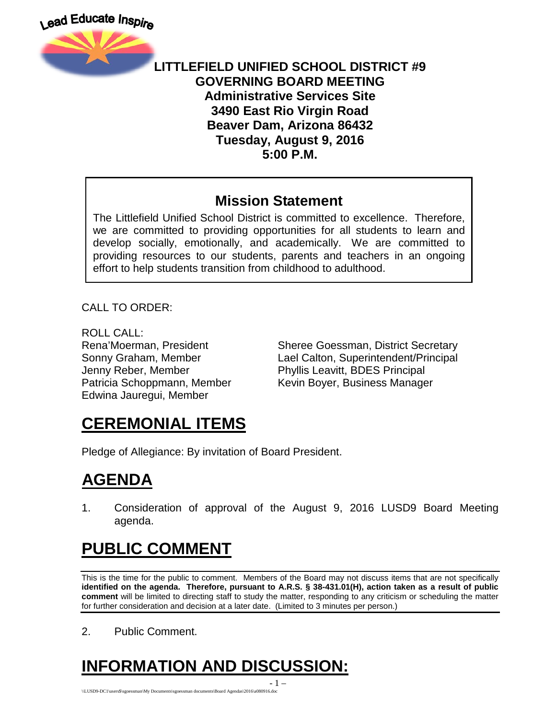

#### **LITTLEFIELD UNIFIED SCHOOL DISTRICT #9 GOVERNING BOARD MEETING Administrative Services Site 3490 East Rio Virgin Road Beaver Dam, Arizona 86432 Tuesday, August 9, 2016 5:00 P.M.**

#### **Mission Statement**

The Littlefield Unified School District is committed to excellence. Therefore, we are committed to providing opportunities for all students to learn and develop socially, emotionally, and academically. We are committed to providing resources to our students, parents and teachers in an ongoing effort to help students transition from childhood to adulthood.

CALL TO ORDER:

ROLL CALL: Jenny Reber, Member Phyllis Leavitt, BDES Principal Edwina Jauregui, Member

Rena'Moerman, President Sheree Goessman, District Secretary Sonny Graham, Member Lael Calton, Superintendent/Principal Patricia Schoppmann, Member Kevin Boyer, Business Manager

## **CEREMONIAL ITEMS**

Pledge of Allegiance: By invitation of Board President.

## **AGENDA**

1. Consideration of approval of the August 9, 2016 LUSD9 Board Meeting agenda.

## **PUBLIC COMMENT**

This is the time for the public to comment. Members of the Board may not discuss items that are not specifically **identified on the agenda. Therefore, pursuant to A.R.S. § 38-431.01(H), action taken as a result of public comment** will be limited to directing staff to study the matter, responding to any criticism or scheduling the matter for further consideration and decision at a later date. (Limited to 3 minutes per person.)

2. Public Comment.

# **INFORMATION AND DISCUSSION:**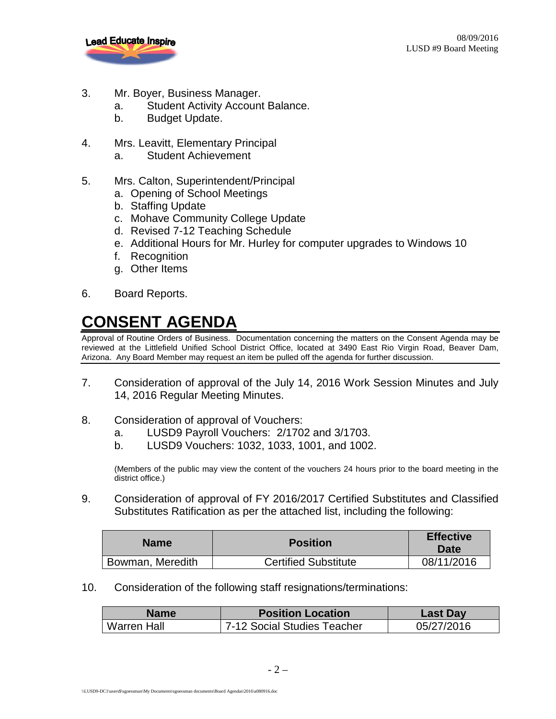

- 3. Mr. Boyer, Business Manager.
	- a. Student Activity Account Balance.
	- b. Budget Update.
- 4. Mrs. Leavitt, Elementary Principal
	- a. Student Achievement
- 5. Mrs. Calton, Superintendent/Principal
	- a. Opening of School Meetings
	- b. Staffing Update
	- c. Mohave Community College Update
	- d. Revised 7-12 Teaching Schedule
	- e. Additional Hours for Mr. Hurley for computer upgrades to Windows 10
	- f. Recognition
	- g. Other Items
- 6. Board Reports.

## **CONSENT AGENDA**

Approval of Routine Orders of Business. Documentation concerning the matters on the Consent Agenda may be reviewed at the Littlefield Unified School District Office, located at 3490 East Rio Virgin Road, Beaver Dam, Arizona. Any Board Member may request an item be pulled off the agenda for further discussion.

- 7. Consideration of approval of the July 14, 2016 Work Session Minutes and July 14, 2016 Regular Meeting Minutes.
- 8. Consideration of approval of Vouchers:
	- a. LUSD9 Payroll Vouchers: 2/1702 and 3/1703.
	- b. LUSD9 Vouchers: 1032, 1033, 1001, and 1002.

(Members of the public may view the content of the vouchers 24 hours prior to the board meeting in the district office.)

9. Consideration of approval of FY 2016/2017 Certified Substitutes and Classified Substitutes Ratification as per the attached list, including the following:

| <b>Name</b>      | <b>Position</b>             | <b>Effective</b><br>Date |
|------------------|-----------------------------|--------------------------|
| Bowman, Meredith | <b>Certified Substitute</b> | 08/11/2016               |

10. Consideration of the following staff resignations/terminations:

| <b>Name</b>        | <b>Position Location</b>    | <b>Last Day</b> |
|--------------------|-----------------------------|-----------------|
| <b>Warren Hall</b> | 7-12 Social Studies Teacher | 05/27/2016      |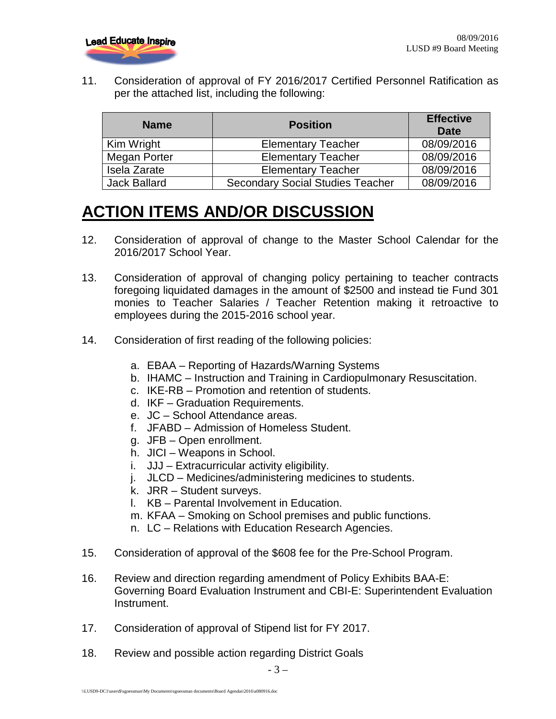

11. Consideration of approval of FY 2016/2017 Certified Personnel Ratification as per the attached list, including the following:

| <b>Name</b>         | <b>Position</b>                         | <b>Effective</b><br>Date |
|---------------------|-----------------------------------------|--------------------------|
| Kim Wright          | <b>Elementary Teacher</b>               | 08/09/2016               |
| Megan Porter        | <b>Elementary Teacher</b>               | 08/09/2016               |
| Isela Zarate        | <b>Elementary Teacher</b>               | 08/09/2016               |
| <b>Jack Ballard</b> | <b>Secondary Social Studies Teacher</b> | 08/09/2016               |

## **ACTION ITEMS AND/OR DISCUSSION**

- 12. Consideration of approval of change to the Master School Calendar for the 2016/2017 School Year.
- 13. Consideration of approval of changing policy pertaining to teacher contracts foregoing liquidated damages in the amount of \$2500 and instead tie Fund 301 monies to Teacher Salaries / Teacher Retention making it retroactive to employees during the 2015-2016 school year.
- 14. Consideration of first reading of the following policies:
	- a. EBAA Reporting of Hazards/Warning Systems
	- b. IHAMC Instruction and Training in Cardiopulmonary Resuscitation.
	- c. IKE-RB Promotion and retention of students.
	- d. IKF Graduation Requirements.
	- e. JC School Attendance areas.
	- f. JFABD Admission of Homeless Student.
	- g. JFB Open enrollment.
	- h. JICI Weapons in School.
	- i. JJJ Extracurricular activity eligibility.
	- j. JLCD Medicines/administering medicines to students.
	- k. JRR Student surveys.
	- l. KB Parental Involvement in Education.
	- m. KFAA Smoking on School premises and public functions.
	- n. LC Relations with Education Research Agencies.
- 15. Consideration of approval of the \$608 fee for the Pre-School Program.
- 16. Review and direction regarding amendment of Policy Exhibits BAA-E: Governing Board Evaluation Instrument and CBI-E: Superintendent Evaluation Instrument.
- 17. Consideration of approval of Stipend list for FY 2017.
- 18. Review and possible action regarding District Goals